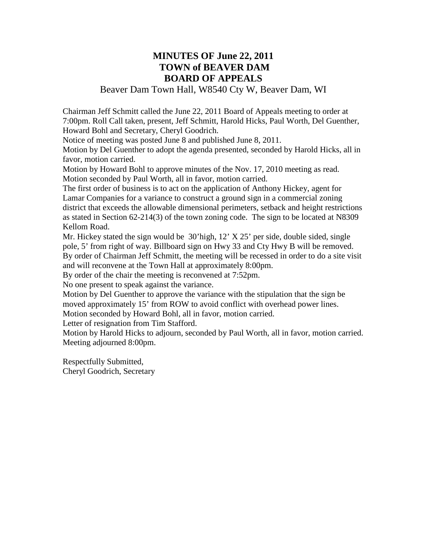## **MINUTES OF June 22, 2011 TOWN of BEAVER DAM BOARD OF APPEALS**

### Beaver Dam Town Hall, W8540 Cty W, Beaver Dam, WI

Chairman Jeff Schmitt called the June 22, 2011 Board of Appeals meeting to order at 7:00pm. Roll Call taken, present, Jeff Schmitt, Harold Hicks, Paul Worth, Del Guenther, Howard Bohl and Secretary, Cheryl Goodrich.

Notice of meeting was posted June 8 and published June 8, 2011.

Motion by Del Guenther to adopt the agenda presented, seconded by Harold Hicks, all in favor, motion carried.

Motion by Howard Bohl to approve minutes of the Nov. 17, 2010 meeting as read. Motion seconded by Paul Worth, all in favor, motion carried.

The first order of business is to act on the application of Anthony Hickey, agent for Lamar Companies for a variance to construct a ground sign in a commercial zoning district that exceeds the allowable dimensional perimeters, setback and height restrictions as stated in Section 62-214(3) of the town zoning code. The sign to be located at N8309 Kellom Road.

Mr. Hickey stated the sign would be 30'high, 12' X 25' per side, double sided, single pole, 5' from right of way. Billboard sign on Hwy 33 and Cty Hwy B will be removed. By order of Chairman Jeff Schmitt, the meeting will be recessed in order to do a site visit and will reconvene at the Town Hall at approximately 8:00pm.

By order of the chair the meeting is reconvened at 7:52pm.

No one present to speak against the variance.

Motion by Del Guenther to approve the variance with the stipulation that the sign be moved approximately 15' from ROW to avoid conflict with overhead power lines. Motion seconded by Howard Bohl, all in favor, motion carried.

Letter of resignation from Tim Stafford.

Motion by Harold Hicks to adjourn, seconded by Paul Worth, all in favor, motion carried. Meeting adjourned 8:00pm.

Respectfully Submitted, Cheryl Goodrich, Secretary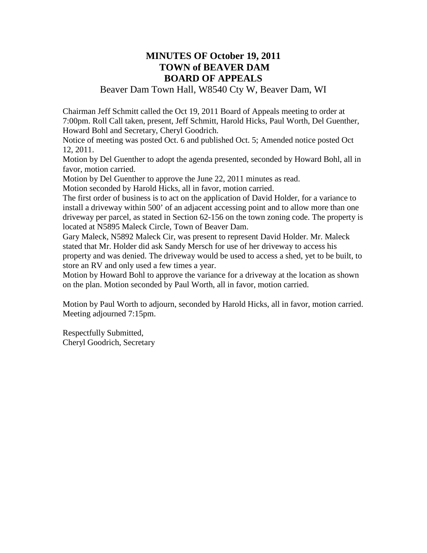### **MINUTES OF October 19, 2011 TOWN of BEAVER DAM BOARD OF APPEALS**

### Beaver Dam Town Hall, W8540 Cty W, Beaver Dam, WI

Chairman Jeff Schmitt called the Oct 19, 2011 Board of Appeals meeting to order at 7:00pm. Roll Call taken, present, Jeff Schmitt, Harold Hicks, Paul Worth, Del Guenther, Howard Bohl and Secretary, Cheryl Goodrich.

Notice of meeting was posted Oct. 6 and published Oct. 5; Amended notice posted Oct 12, 2011.

Motion by Del Guenther to adopt the agenda presented, seconded by Howard Bohl, all in favor, motion carried.

Motion by Del Guenther to approve the June 22, 2011 minutes as read.

Motion seconded by Harold Hicks, all in favor, motion carried.

The first order of business is to act on the application of David Holder, for a variance to install a driveway within 500' of an adjacent accessing point and to allow more than one driveway per parcel, as stated in Section 62-156 on the town zoning code. The property is located at N5895 Maleck Circle, Town of Beaver Dam.

Gary Maleck, N5892 Maleck Cir, was present to represent David Holder. Mr. Maleck stated that Mr. Holder did ask Sandy Mersch for use of her driveway to access his property and was denied. The driveway would be used to access a shed, yet to be built, to store an RV and only used a few times a year.

Motion by Howard Bohl to approve the variance for a driveway at the location as shown on the plan. Motion seconded by Paul Worth, all in favor, motion carried.

Motion by Paul Worth to adjourn, seconded by Harold Hicks, all in favor, motion carried. Meeting adjourned 7:15pm.

Respectfully Submitted, Cheryl Goodrich, Secretary